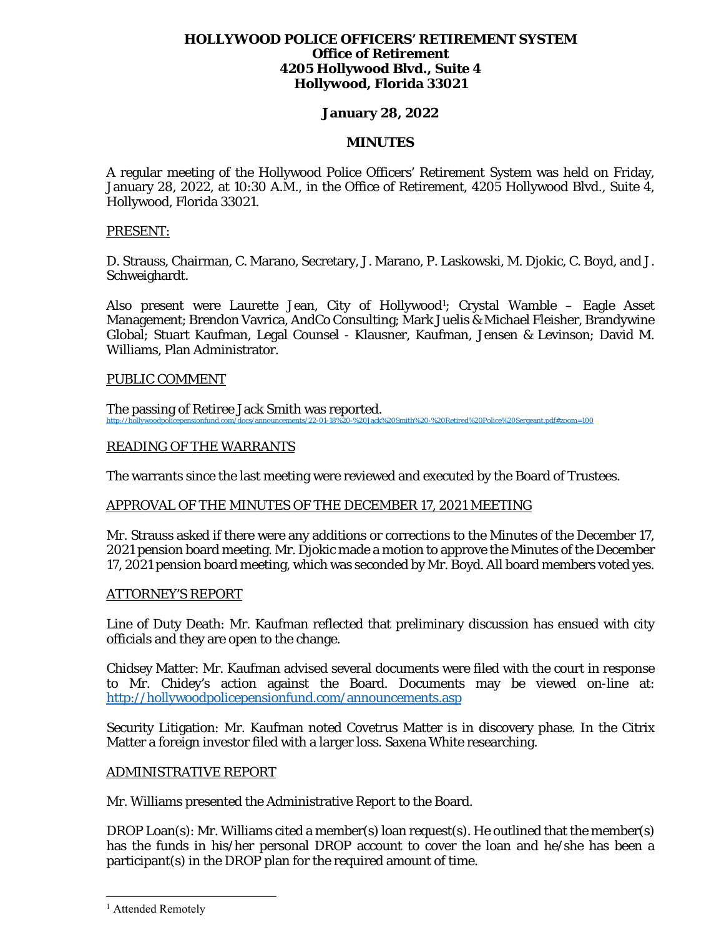### **HOLLYWOOD POLICE OFFICERS' RETIREMENT SYSTEM Office of Retirement 4205 Hollywood Blvd., Suite 4 Hollywood, Florida 33021**

# **January 28, 2022**

### **MINUTES**

A regular meeting of the Hollywood Police Officers' Retirement System was held on Friday, January 28, 2022, at 10:30 A.M., in the Office of Retirement, 4205 Hollywood Blvd., Suite 4, Hollywood, Florida 33021.

#### PRESENT:

D. Strauss, Chairman, C. Marano, Secretary, J. Marano, P. Laskowski, M. Djokic, C. Boyd, and J. Schweighardt.

Also present were Laurette Jean, City of Hollywood<sup>1</sup>; Crystal Wamble – Eagle Asset Management; Brendon Vavrica, AndCo Consulting; Mark Juelis & Michael Fleisher, Brandywine Global; Stuart Kaufman, Legal Counsel - Klausner, Kaufman, Jensen & Levinson; David M. Williams, Plan Administrator.

#### PUBLIC COMMENT

The passing of Retiree Jack Smith was reported. http://hold.com/docs/announcements/22-01-18%20-%20Jack%20Smith%20-%20Retired%20Police%20Sergeant.pdf#zoom=100

# READING OF THE WARRANTS

The warrants since the last meeting were reviewed and executed by the Board of Trustees.

### APPROVAL OF THE MINUTES OF THE DECEMBER 17, 2021 MEETING

Mr. Strauss asked if there were any additions or corrections to the Minutes of the December 17, 2021 pension board meeting. Mr. Djokic made a motion to approve the Minutes of the December 17, 2021 pension board meeting, which was seconded by Mr. Boyd. All board members voted yes.

### ATTORNEY'S REPORT

Line of Duty Death: Mr. Kaufman reflected that preliminary discussion has ensued with city officials and they are open to the change.

Chidsey Matter: Mr. Kaufman advised several documents were filed with the court in response to Mr. Chidey's action against the Board. Documents may be viewed on-line at: http://hollywoodpolicepensionfund.com/announcements.asp

Security Litigation: Mr. Kaufman noted Covetrus Matter is in discovery phase. In the Citrix Matter a foreign investor filed with a larger loss. Saxena White researching.

### ADMINISTRATIVE REPORT

Mr. Williams presented the Administrative Report to the Board.

DROP Loan(s): Mr. Williams cited a member(s) loan request(s). He outlined that the member(s) has the funds in his/her personal DROP account to cover the loan and he/she has been a participant(s) in the DROP plan for the required amount of time.

<sup>&</sup>lt;sup>1</sup> Attended Remotely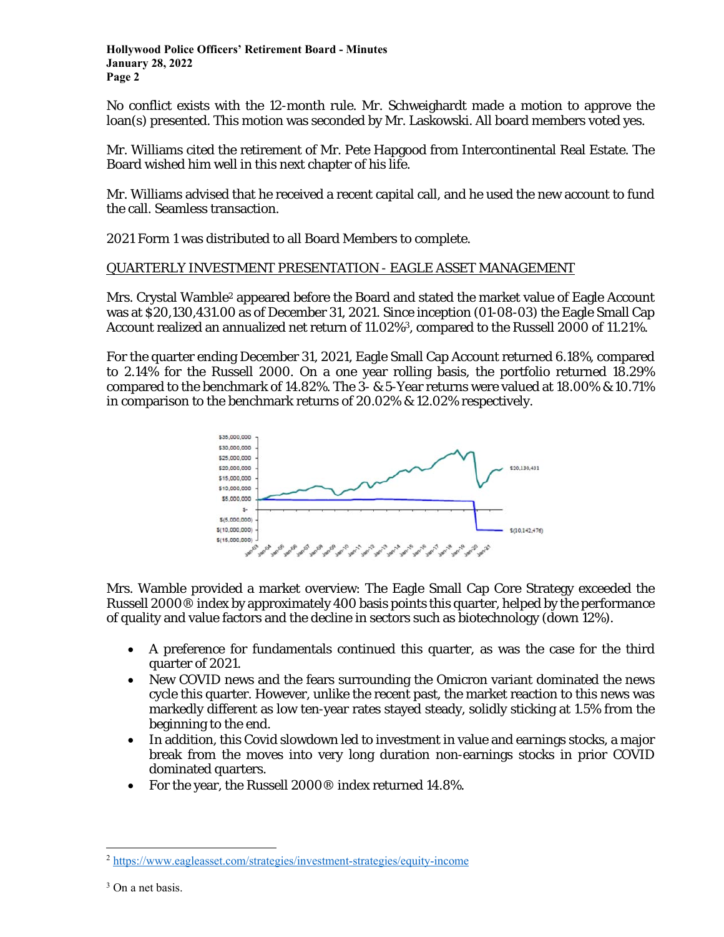No conflict exists with the 12-month rule. Mr. Schweighardt made a motion to approve the loan(s) presented. This motion was seconded by Mr. Laskowski. All board members voted yes.

Mr. Williams cited the retirement of Mr. Pete Hapgood from Intercontinental Real Estate. The Board wished him well in this next chapter of his life.

Mr. Williams advised that he received a recent capital call, and he used the new account to fund the call. Seamless transaction.

2021 Form 1 was distributed to all Board Members to complete.

# QUARTERLY INVESTMENT PRESENTATION - EAGLE ASSET MANAGEMENT

Mrs. Crystal Wamble<sup>2</sup> appeared before the Board and stated the market value of Eagle Account was at \$20,130,431.00 as of December 31, 2021. Since inception (*01-08-03*) the Eagle Small Cap Account realized an annualized net return of 11.02%<sup>3</sup>, compared to the Russell 2000 of 11.21%.

For the quarter ending December 31, 2021, Eagle Small Cap Account returned 6.18%, compared to 2.14% for the Russell 2000. On a one year rolling basis, the portfolio returned 18.29% compared to the benchmark of 14.82%. The 3- & 5-Year returns were valued at 18.00% & 10.71% in comparison to the benchmark returns of 20.02% & 12.02% respectively.



Mrs. Wamble provided a market overview: The Eagle Small Cap Core Strategy exceeded the Russell 2000® index by approximately 400 basis points this quarter, helped by the performance of quality and value factors and the decline in sectors such as biotechnology (down 12%).

- A preference for fundamentals continued this quarter, as was the case for the third quarter of 2021.
- New COVID news and the fears surrounding the Omicron variant dominated the news cycle this quarter. However, unlike the recent past, the market reaction to this news was markedly different as low ten-year rates stayed steady, solidly sticking at 1.5% from the beginning to the end.
- In addition, this Covid slowdown led to investment in value and earnings stocks, a major break from the moves into very long duration non-earnings stocks in prior COVID dominated quarters.
- For the year, the Russell 2000® index returned 14.8%.

<sup>2</sup> https://www.eagleasset.com/strategies/investment-strategies/equity-income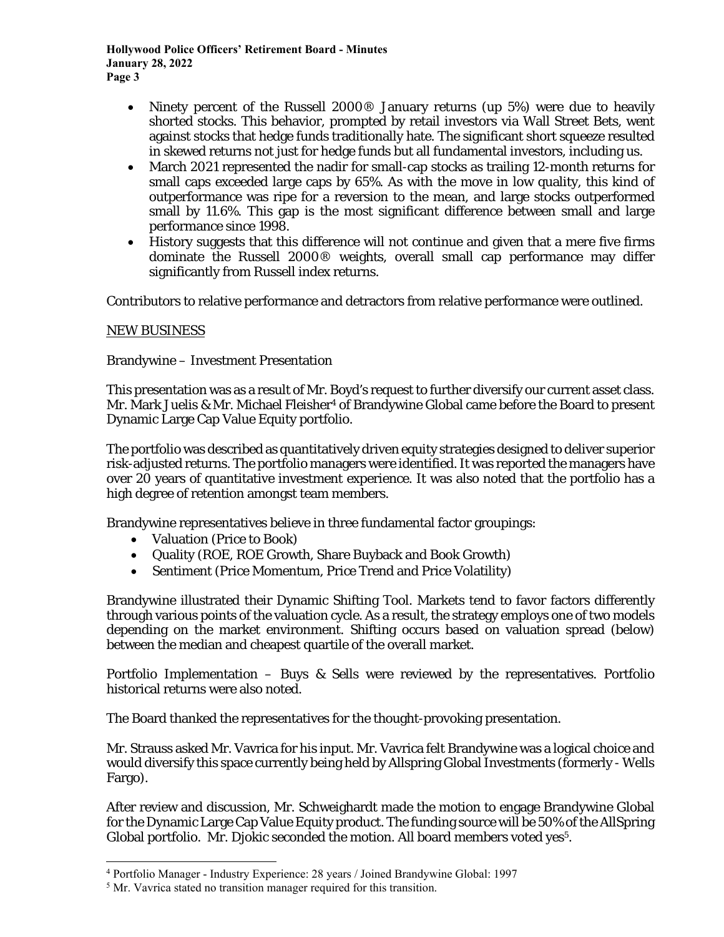**Hollywood Police Officers' Retirement Board - Minutes January 28, 2022 Page 3** 

- Ninety percent of the Russell 2000® January returns (up 5%) were due to heavily shorted stocks. This behavior, prompted by retail investors via Wall Street Bets, went against stocks that hedge funds traditionally hate. The significant short squeeze resulted in skewed returns not just for hedge funds but all fundamental investors, including us.
- March 2021 represented the nadir for small-cap stocks as trailing 12-month returns for small caps exceeded large caps by 65%. As with the move in low quality, this kind of outperformance was ripe for a reversion to the mean, and large stocks outperformed small by 11.6%. This gap is the most significant difference between small and large performance since 1998.
- History suggests that this difference will not continue and given that a mere five firms dominate the Russell 2000® weights, overall small cap performance may differ significantly from Russell index returns.

Contributors to relative performance and detractors from relative performance were outlined.

# NEW BUSINESS

Brandywine – Investment Presentation

This presentation was as a result of Mr. Boyd's request to further diversify our current asset class. Mr. Mark Juelis & Mr. Michael Fleisher<sup>4</sup> of Brandywine Global came before the Board to present Dynamic Large Cap Value Equity portfolio.

The portfolio was described as quantitatively driven equity strategies designed to deliver superior risk-adjusted returns. The portfolio managers were identified. It was reported the managers have over 20 years of quantitative investment experience. It was also noted that the portfolio has a high degree of retention amongst team members.

Brandywine representatives believe in three fundamental factor groupings:

- Valuation (Price to Book)
- Quality (ROE, ROE Growth, Share Buyback and Book Growth)
- Sentiment (Price Momentum, Price Trend and Price Volatility)

Brandywine illustrated their Dynamic Shifting Tool. Markets tend to favor factors differently through various points of the valuation cycle. As a result, the strategy employs one of two models depending on the market environment. Shifting occurs based on valuation spread (below) between the median and cheapest quartile of the overall market.

Portfolio Implementation – Buys & Sells were reviewed by the representatives. Portfolio historical returns were also noted.

The Board thanked the representatives for the thought-provoking presentation.

Mr. Strauss asked Mr. Vavrica for his input. Mr. Vavrica felt Brandywine was a logical choice and would diversify this space currently being held by Allspring Global Investments (formerly - Wells Fargo).

After review and discussion, Mr. Schweighardt made the motion to engage Brandywine Global for the Dynamic Large Cap Value Equity product. The funding source will be 50% of the AllSpring Global portfolio. Mr. Djokic seconded the motion. All board members voted yes<sup>5</sup>.

 $^{4}$  Portfolio Manager - Industry Experience: 28 years / Joined Brandywine Global: 1997<br><sup>5</sup> Mr. Vayrica stated no transition manager required for this transition

 $5$  Mr. Vavrica stated no transition manager required for this transition.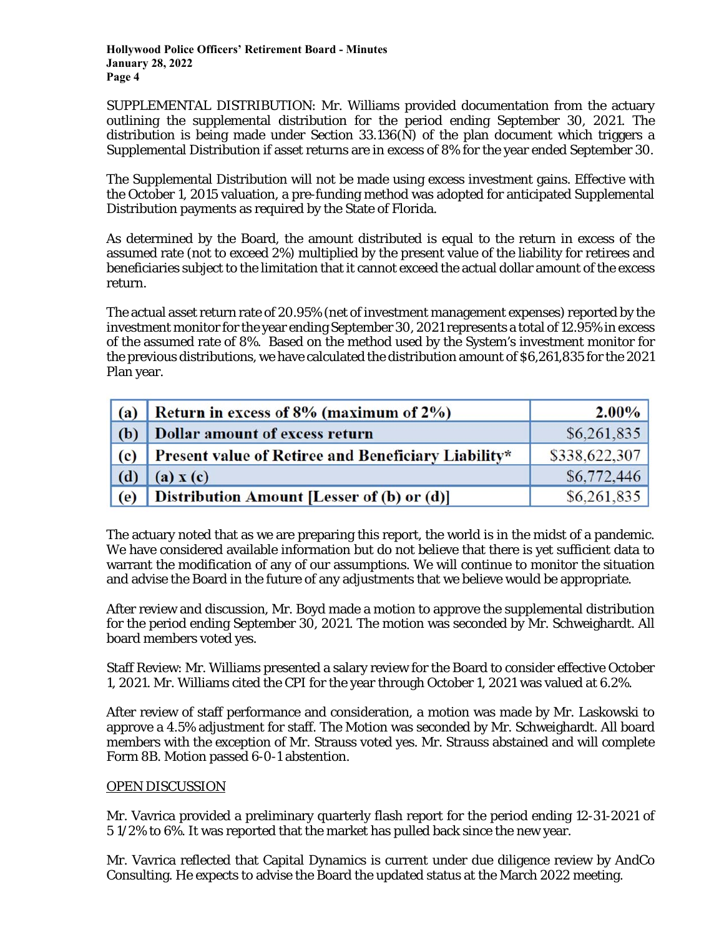**Hollywood Police Officers' Retirement Board - Minutes January 28, 2022 Page 4** 

SUPPLEMENTAL DISTRIBUTION: Mr. Williams provided documentation from the actuary outlining the supplemental distribution for the period ending September 30, 2021. The distribution is being made under Section 33.136(N) of the plan document which triggers a Supplemental Distribution if asset returns are in excess of 8% for the year ended September 30.

The Supplemental Distribution will not be made using excess investment gains. Effective with the October 1, 2015 valuation, a pre-funding method was adopted for anticipated Supplemental Distribution payments as required by the State of Florida.

As determined by the Board, the amount distributed is equal to the return in excess of the assumed rate (not to exceed 2%) multiplied by the present value of the liability for retirees and beneficiaries subject to the limitation that it cannot exceed the actual dollar amount of the excess return.

The actual asset return rate of 20.95% (net of investment management expenses) reported by the investment monitor for the year ending September 30, 2021 represents a total of 12.95% in excess of the assumed rate of 8%. Based on the method used by the System's investment monitor for the previous distributions, we have calculated the distribution amount of \$6,261,835 for the 2021 Plan year.

| (a)                         | Return in excess of 8% (maximum of 2%)              | $2.00\%$      |
|-----------------------------|-----------------------------------------------------|---------------|
| (b)                         | <b>Dollar amount of excess return</b>               | \$6,261,835   |
| $\left( \mathbf{c} \right)$ | Present value of Retiree and Beneficiary Liability* | \$338,622,307 |
| (d)                         | (a) x(c)                                            | \$6,772,446   |
| (e)                         | Distribution Amount [Lesser of (b) or (d)]          | \$6,261,835   |

The actuary noted that as we are preparing this report, the world is in the midst of a pandemic. We have considered available information but do not believe that there is yet sufficient data to warrant the modification of any of our assumptions. We will continue to monitor the situation and advise the Board in the future of any adjustments that we believe would be appropriate.

After review and discussion, Mr. Boyd made a motion to approve the supplemental distribution for the period ending September 30, 2021. The motion was seconded by Mr. Schweighardt. All board members voted yes.

Staff Review: Mr. Williams presented a salary review for the Board to consider effective October 1, 2021. Mr. Williams cited the CPI for the year through October 1, 2021 was valued at 6.2%.

After review of staff performance and consideration, a motion was made by Mr. Laskowski to approve a 4.5% adjustment for staff. The Motion was seconded by Mr. Schweighardt. All board members with the exception of Mr. Strauss voted yes. Mr. Strauss abstained and will complete Form 8B. Motion passed 6-0-1 abstention.

### OPEN DISCUSSION

Mr. Vavrica provided a preliminary quarterly flash report for the period ending 12-31-2021 of 5 1/2% to 6%. It was reported that the market has pulled back since the new year.

Mr. Vavrica reflected that Capital Dynamics is current under due diligence review by AndCo Consulting. He expects to advise the Board the updated status at the March 2022 meeting.